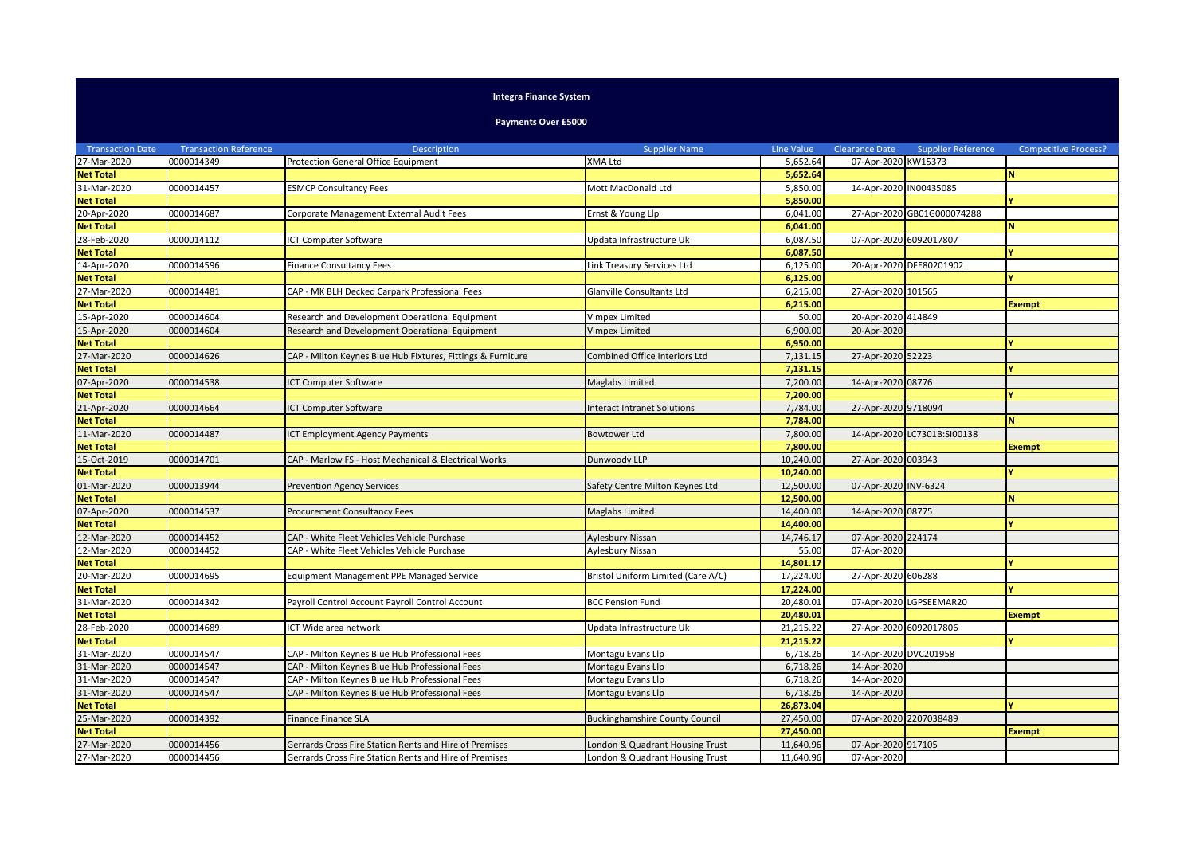## **Integra Finance System**

**Payments Over £5000**

| <b>Transaction Date</b> | <b>Transaction Reference</b> | <b>Description</b>                                          | <b>Supplier Name</b>                  | <b>Line Value</b> | Clearance Date         | <b>Supplier Reference</b>   | <b>Competitive Process?</b> |
|-------------------------|------------------------------|-------------------------------------------------------------|---------------------------------------|-------------------|------------------------|-----------------------------|-----------------------------|
| 27-Mar-2020             | 0000014349                   | <b>Protection General Office Equipment</b>                  | XMA Ltd                               | 5,652.64          | 07-Apr-2020 KW15373    |                             |                             |
| <b>Net Total</b>        |                              |                                                             |                                       | 5,652.64          |                        |                             | N                           |
| 31-Mar-2020             | 0000014457                   | <b>ESMCP Consultancy Fees</b>                               | Mott MacDonald Ltd                    | 5,850.00          | 14-Apr-2020 IN00435085 |                             |                             |
| <b>Net Total</b>        |                              |                                                             |                                       | 5,850.00          |                        |                             |                             |
| 20-Apr-2020             | 0000014687                   | Corporate Management External Audit Fees                    | Ernst & Young Llp                     | 6,041.00          |                        | 27-Apr-2020 GB01G000074288  |                             |
| <b>Net Total</b>        |                              |                                                             |                                       | 6,041.00          |                        |                             | N.                          |
| 28-Feb-2020             | 0000014112                   | <b>CT Computer Software</b>                                 | Updata Infrastructure Uk              | 6,087.50          | 07-Apr-2020 6092017807 |                             |                             |
| <b>Net Total</b>        |                              |                                                             |                                       | 6,087.50          |                        |                             |                             |
| 14-Apr-2020             | 0000014596                   | <b>Finance Consultancy Fees</b>                             | Link Treasury Services Ltd            | 6,125.00          |                        | 20-Apr-2020 DFE80201902     |                             |
| <b>Net Total</b>        |                              |                                                             |                                       | 6,125.00          |                        |                             |                             |
| 27-Mar-2020             | 0000014481                   | CAP - MK BLH Decked Carpark Professional Fees               | Glanville Consultants Ltd             | 6,215.00          | 27-Apr-2020 101565     |                             |                             |
| <b>Net Total</b>        |                              |                                                             |                                       | 6,215.00          |                        |                             | <b>Exempt</b>               |
| 15-Apr-2020             | 0000014604                   | Research and Development Operational Equipment              | Vimpex Limited                        | 50.00             | 20-Apr-2020 414849     |                             |                             |
| 15-Apr-2020             | 0000014604                   | Research and Development Operational Equipment              | Vimpex Limited                        | 6,900.00          | 20-Apr-2020            |                             |                             |
| <b>Net Total</b>        |                              |                                                             |                                       | 6,950.00          |                        |                             |                             |
| 27-Mar-2020             | 0000014626                   | CAP - Milton Keynes Blue Hub Fixtures, Fittings & Furniture | Combined Office Interiors Ltd         | 7,131.15          | 27-Apr-2020 52223      |                             |                             |
| <b>Net Total</b>        |                              |                                                             |                                       | 7,131.15          |                        |                             |                             |
| 07-Apr-2020             | 0000014538                   | <b>CT Computer Software</b>                                 | Maglabs Limited                       | 7,200.00          | 14-Apr-2020 08776      |                             |                             |
| <b>Net Total</b>        |                              |                                                             |                                       | 7,200.00          |                        |                             |                             |
| 21-Apr-2020             | 0000014664                   | <b>CT Computer Software</b>                                 | <b>Interact Intranet Solutions</b>    | 7,784.00          | 27-Apr-2020 9718094    |                             |                             |
| <b>Net Total</b>        |                              |                                                             |                                       | 7,784.00          |                        |                             | N                           |
| 11-Mar-2020             | 0000014487                   | CT Employment Agency Payments                               | <b>Bowtower Ltd</b>                   | 7,800.00          |                        | 14-Apr-2020 LC7301B:SI00138 |                             |
| <b>Net Total</b>        |                              |                                                             |                                       | 7,800.00          |                        |                             | <b>Exempt</b>               |
| 15-Oct-2019             | 0000014701                   | CAP - Marlow FS - Host Mechanical & Electrical Works        | Dunwoody LLP                          | 10,240.00         | 27-Apr-2020 003943     |                             |                             |
| <b>Net Total</b>        |                              |                                                             |                                       | 10,240.00         |                        |                             |                             |
| 01-Mar-2020             | 0000013944                   | <b>Prevention Agency Services</b>                           | Safety Centre Milton Keynes Ltd       | 12,500.00         | 07-Apr-2020 INV-6324   |                             |                             |
| <b>Net Total</b>        |                              |                                                             |                                       | 12,500.00         |                        |                             | N                           |
| 07-Apr-2020             | 0000014537                   | Procurement Consultancy Fees                                | Maglabs Limited                       | 14,400.00         | 14-Apr-2020 08775      |                             |                             |
| <b>Net Total</b>        |                              |                                                             |                                       | 14,400.00         |                        |                             |                             |
| 12-Mar-2020             | 0000014452                   | CAP - White Fleet Vehicles Vehicle Purchase                 | Aylesbury Nissan                      | 14,746.17         | 07-Apr-2020 224174     |                             |                             |
| 12-Mar-2020             | 0000014452                   | CAP - White Fleet Vehicles Vehicle Purchase                 | Aylesbury Nissan                      | 55.00             | 07-Apr-2020            |                             |                             |
| <b>Net Total</b>        |                              |                                                             |                                       | 14,801.17         |                        |                             |                             |
| 20-Mar-2020             | 0000014695                   | Equipment Management PPE Managed Service                    | Bristol Uniform Limited (Care A/C)    | 17,224.00         | 27-Apr-2020 606288     |                             |                             |
| <b>Net Total</b>        |                              |                                                             |                                       | 17,224.00         |                        |                             |                             |
| 31-Mar-2020             | 0000014342                   | Payroll Control Account Payroll Control Account             | <b>BCC Pension Fund</b>               | 20,480.01         |                        | 07-Apr-2020 LGPSEEMAR20     |                             |
| <b>Net Total</b>        |                              |                                                             |                                       | 20,480.01         |                        |                             | <b>Exempt</b>               |
| 28-Feb-2020             | 0000014689                   | CT Wide area network                                        | Updata Infrastructure Uk              | 21,215.22         | 27-Apr-2020 6092017806 |                             |                             |
| <b>Net Total</b>        |                              |                                                             |                                       | 21,215.22         |                        |                             | Y                           |
| 31-Mar-2020             | 0000014547                   | CAP - Milton Keynes Blue Hub Professional Fees              | Montagu Evans Llp                     | 6,718.26          | 14-Apr-2020 DVC201958  |                             |                             |
| 31-Mar-2020             | 0000014547                   | CAP - Milton Keynes Blue Hub Professional Fees              | Montagu Evans Llp                     | 6,718.26          | 14-Apr-2020            |                             |                             |
| 31-Mar-2020             | 0000014547                   | CAP - Milton Keynes Blue Hub Professional Fees              | Montagu Evans Llp                     | 6,718.26          | 14-Apr-2020            |                             |                             |
| 31-Mar-2020             | 0000014547                   | CAP - Milton Keynes Blue Hub Professional Fees              | Montagu Evans Llp                     | 6,718.26          | 14-Apr-2020            |                             |                             |
| <b>Net Total</b>        |                              |                                                             |                                       | 26,873.04         |                        |                             |                             |
| 25-Mar-2020             | 0000014392                   | Finance Finance SLA                                         | <b>Buckinghamshire County Council</b> | 27,450.00         | 07-Apr-2020 2207038489 |                             |                             |
| <b>Net Total</b>        |                              |                                                             |                                       | 27,450.00         |                        |                             | <b>Exempt</b>               |
| 27-Mar-2020             | 0000014456                   | Gerrards Cross Fire Station Rents and Hire of Premises      | London & Quadrant Housing Trust       | 11,640.96         | 07-Apr-2020 917105     |                             |                             |
| 27-Mar-2020             | 0000014456                   | Gerrards Cross Fire Station Rents and Hire of Premises      | London & Quadrant Housing Trust       | 11,640.96         | 07-Apr-2020            |                             |                             |